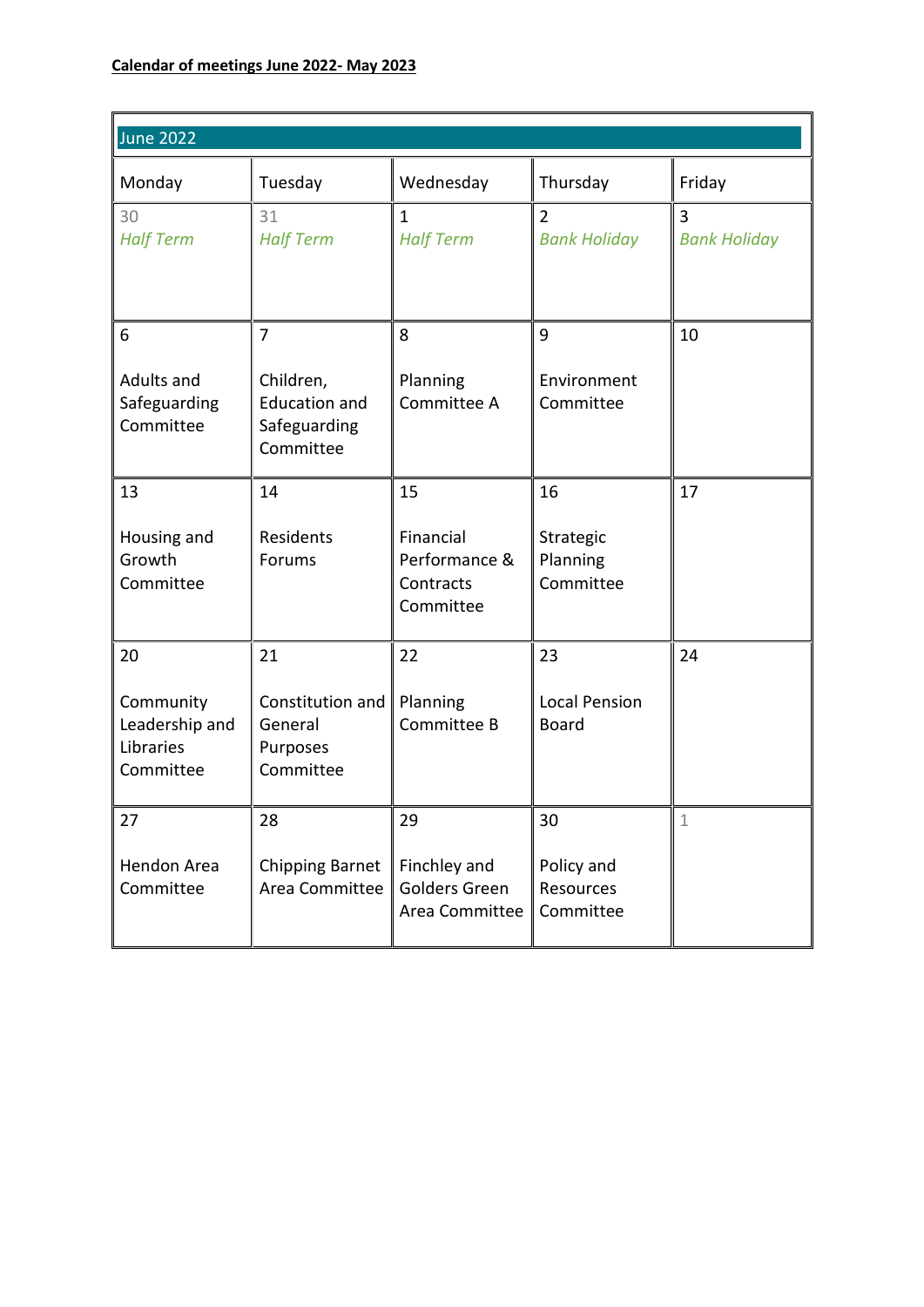| <b>June 2022</b>                                            |                                                                                  |                                                            |                                            |                          |
|-------------------------------------------------------------|----------------------------------------------------------------------------------|------------------------------------------------------------|--------------------------------------------|--------------------------|
| Monday                                                      | Tuesday                                                                          | Wednesday                                                  | Thursday                                   | Friday                   |
| 30<br><b>Half Term</b>                                      | 31<br><b>Half Term</b>                                                           | 1<br><b>Half Term</b>                                      | $\overline{2}$<br><b>Bank Holiday</b>      | 3<br><b>Bank Holiday</b> |
| 6<br>Adults and<br>Safeguarding<br>Committee                | $\overline{7}$<br>Children,<br><b>Education and</b><br>Safeguarding<br>Committee | 8<br>Planning<br>Committee A                               | 9<br>Environment<br>Committee              | 10                       |
| 13<br>Housing and<br>Growth<br>Committee                    | 14<br>Residents<br>Forums                                                        | 15<br>Financial<br>Performance &<br>Contracts<br>Committee | 16<br>Strategic<br>Planning<br>Committee   | 17                       |
| 20<br>Community<br>Leadership and<br>Libraries<br>Committee | 21<br>Constitution and<br>General<br>Purposes<br>Committee                       | 22<br>Planning<br>Committee B                              | 23<br><b>Local Pension</b><br><b>Board</b> | 24                       |
| 27<br>Hendon Area<br>Committee                              | 28<br><b>Chipping Barnet</b><br>Area Committee                                   | 29<br>Finchley and<br>Golders Green<br>Area Committee      | 30<br>Policy and<br>Resources<br>Committee | 1                        |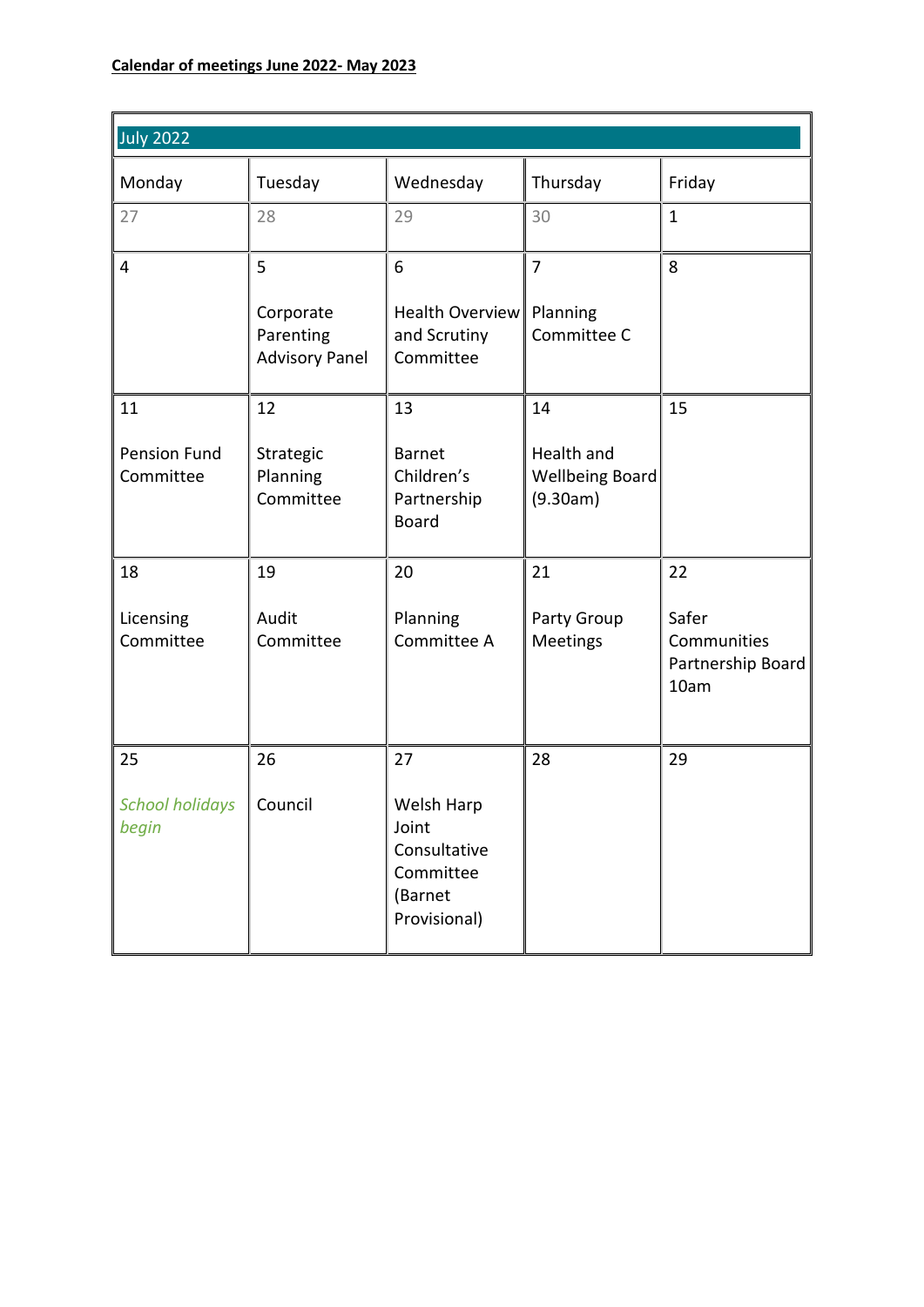| <b>July 2022</b>                 |                                                 |                                                                             |                                           |                                                   |  |  |
|----------------------------------|-------------------------------------------------|-----------------------------------------------------------------------------|-------------------------------------------|---------------------------------------------------|--|--|
| Monday                           | Tuesday                                         | Wednesday                                                                   | Thursday                                  | Friday                                            |  |  |
| 27                               | 28                                              | 29                                                                          | 30                                        | $\mathbf{1}$                                      |  |  |
| 4                                | 5                                               | 6                                                                           | $\overline{7}$                            | 8                                                 |  |  |
|                                  | Corporate<br>Parenting<br><b>Advisory Panel</b> | <b>Health Overview</b><br>and Scrutiny<br>Committee                         | Planning<br>Committee C                   |                                                   |  |  |
| 11                               | 12                                              | 13                                                                          | 14                                        | 15                                                |  |  |
| <b>Pension Fund</b><br>Committee | Strategic<br>Planning<br>Committee              | <b>Barnet</b><br>Children's<br>Partnership<br><b>Board</b>                  | Health and<br>Wellbeing Board<br>(9.30am) |                                                   |  |  |
| 18                               | 19                                              | 20                                                                          | 21                                        | 22                                                |  |  |
| Licensing<br>Committee           | Audit<br>Committee                              | Planning<br>Committee A                                                     | Party Group<br><b>Meetings</b>            | Safer<br>Communities<br>Partnership Board<br>10am |  |  |
| 25                               | 26                                              | 27                                                                          | 28                                        | 29                                                |  |  |
| <b>School holidays</b><br>begin  | Council                                         | Welsh Harp<br>Joint<br>Consultative<br>Committee<br>(Barnet<br>Provisional) |                                           |                                                   |  |  |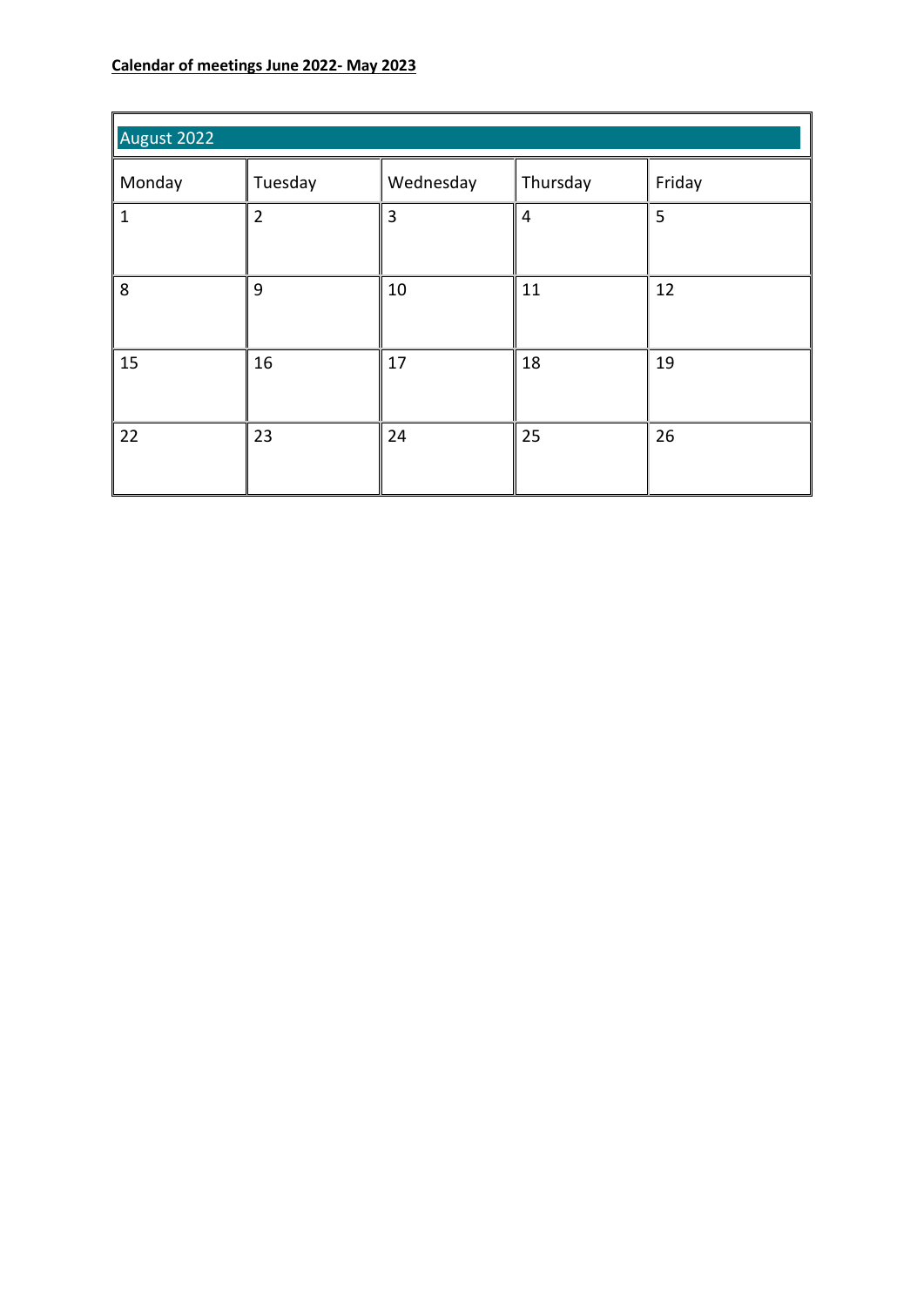| August 2022  |                |           |                |        |
|--------------|----------------|-----------|----------------|--------|
| Monday       | Tuesday        | Wednesday | Thursday       | Friday |
| $\mathbf{1}$ | $\overline{2}$ | 3         | $\overline{4}$ | 5      |
| 8            | 9              | 10        | 11             | 12     |
| 15           | 16             | 17        | 18             | 19     |
| 22           | 23             | 24        | 25             | 26     |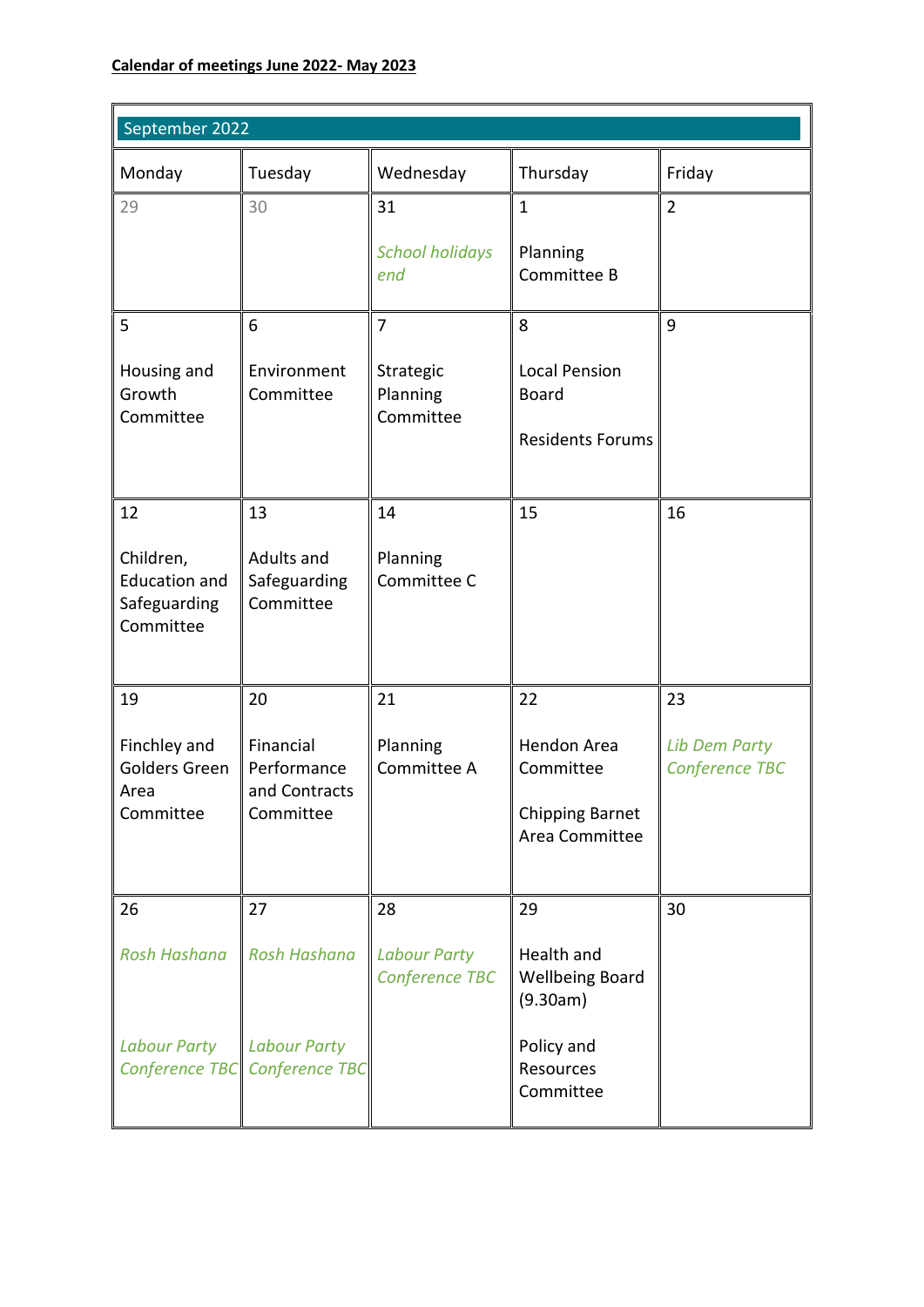| September 2022                                                 |                                                      |                                       |                                                  |                                        |
|----------------------------------------------------------------|------------------------------------------------------|---------------------------------------|--------------------------------------------------|----------------------------------------|
| Monday                                                         | Tuesday                                              | Wednesday                             | Thursday                                         | Friday                                 |
| 29                                                             | 30                                                   | 31                                    | $\mathbf{1}$                                     | $\overline{2}$                         |
|                                                                |                                                      | <b>School holidays</b><br>end         | Planning<br>Committee B                          |                                        |
| 5                                                              | 6                                                    | $\overline{7}$                        | 8                                                | 9                                      |
| Housing and<br>Growth<br>Committee                             | Environment<br>Committee                             | Strategic<br>Planning<br>Committee    | <b>Local Pension</b><br><b>Board</b>             |                                        |
|                                                                |                                                      |                                       | <b>Residents Forums</b>                          |                                        |
| 12                                                             | 13                                                   | 14                                    | 15                                               | 16                                     |
| Children,<br><b>Education and</b><br>Safeguarding<br>Committee | Adults and<br>Safeguarding<br>Committee              | Planning<br>Committee C               |                                                  |                                        |
| 19                                                             | 20                                                   | 21                                    | 22                                               | 23                                     |
| Finchley and<br>Golders Green<br>Area                          | Financial<br>Performance<br>and Contracts            | Planning<br>Committee A               | Hendon Area<br>Committee                         | <b>Lib Dem Party</b><br>Conference TBC |
| Committee                                                      | Committee                                            |                                       | <b>Chipping Barnet</b><br>Area Committee         |                                        |
| 26                                                             | 27                                                   | 28                                    | 29                                               | 30                                     |
| <b>Rosh Hashana</b>                                            | <b>Rosh Hashana</b>                                  | <b>Labour Party</b><br>Conference TBC | Health and<br><b>Wellbeing Board</b><br>(9.30am) |                                        |
| <b>Labour Party</b>                                            | <b>Labour Party</b><br>Conference TBC Conference TBC |                                       | Policy and<br>Resources<br>Committee             |                                        |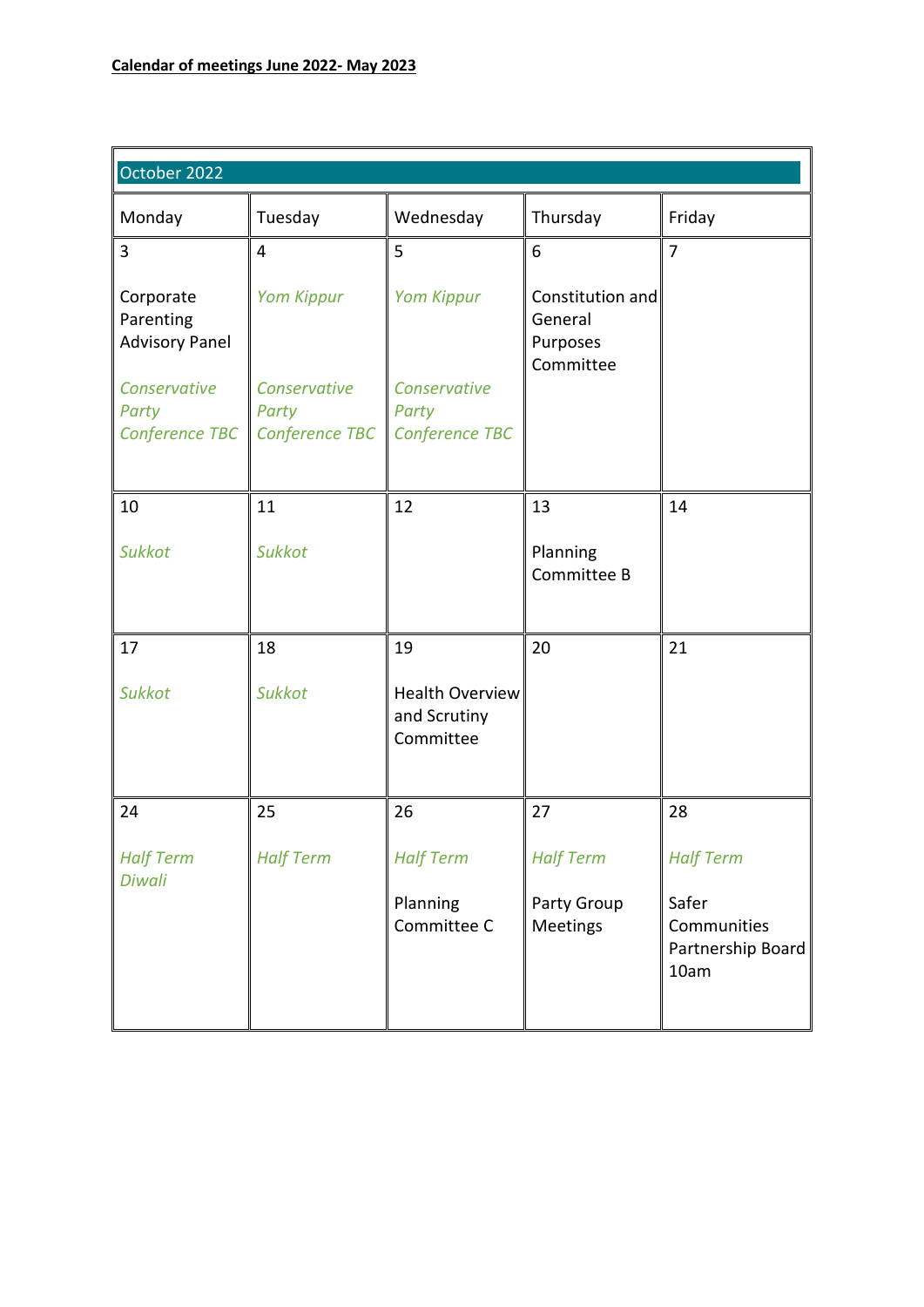| October 2022                                                                               |                                                              |                                                              |                                                      |                                                                       |
|--------------------------------------------------------------------------------------------|--------------------------------------------------------------|--------------------------------------------------------------|------------------------------------------------------|-----------------------------------------------------------------------|
| Monday                                                                                     | Tuesday                                                      | Wednesday                                                    | Thursday                                             | Friday                                                                |
| 3                                                                                          | $\overline{4}$                                               | 5                                                            | 6                                                    | $\overline{7}$                                                        |
| Corporate<br>Parenting<br><b>Advisory Panel</b><br>Conservative<br>Party<br>Conference TBC | <b>Yom Kippur</b><br>Conservative<br>Party<br>Conference TBC | <b>Yom Kippur</b><br>Conservative<br>Party<br>Conference TBC | Constitution and<br>General<br>Purposes<br>Committee |                                                                       |
| 10                                                                                         | 11                                                           | 12                                                           | 13                                                   | 14                                                                    |
| <b>Sukkot</b>                                                                              | <b>Sukkot</b>                                                |                                                              | Planning<br>Committee B                              |                                                                       |
| 17                                                                                         | 18                                                           | 19                                                           | 20                                                   | 21                                                                    |
| <b>Sukkot</b>                                                                              | <b>Sukkot</b>                                                | <b>Health Overview</b><br>and Scrutiny<br>Committee          |                                                      |                                                                       |
| 24                                                                                         | 25                                                           | 26                                                           | 27                                                   | 28                                                                    |
| <b>Half Term</b><br><b>Diwali</b>                                                          | <b>Half Term</b>                                             | <b>Half Term</b><br>Planning<br>Committee C                  | <b>Half Term</b><br>Party Group<br><b>Meetings</b>   | <b>Half Term</b><br>Safer<br>Communities<br>Partnership Board<br>10am |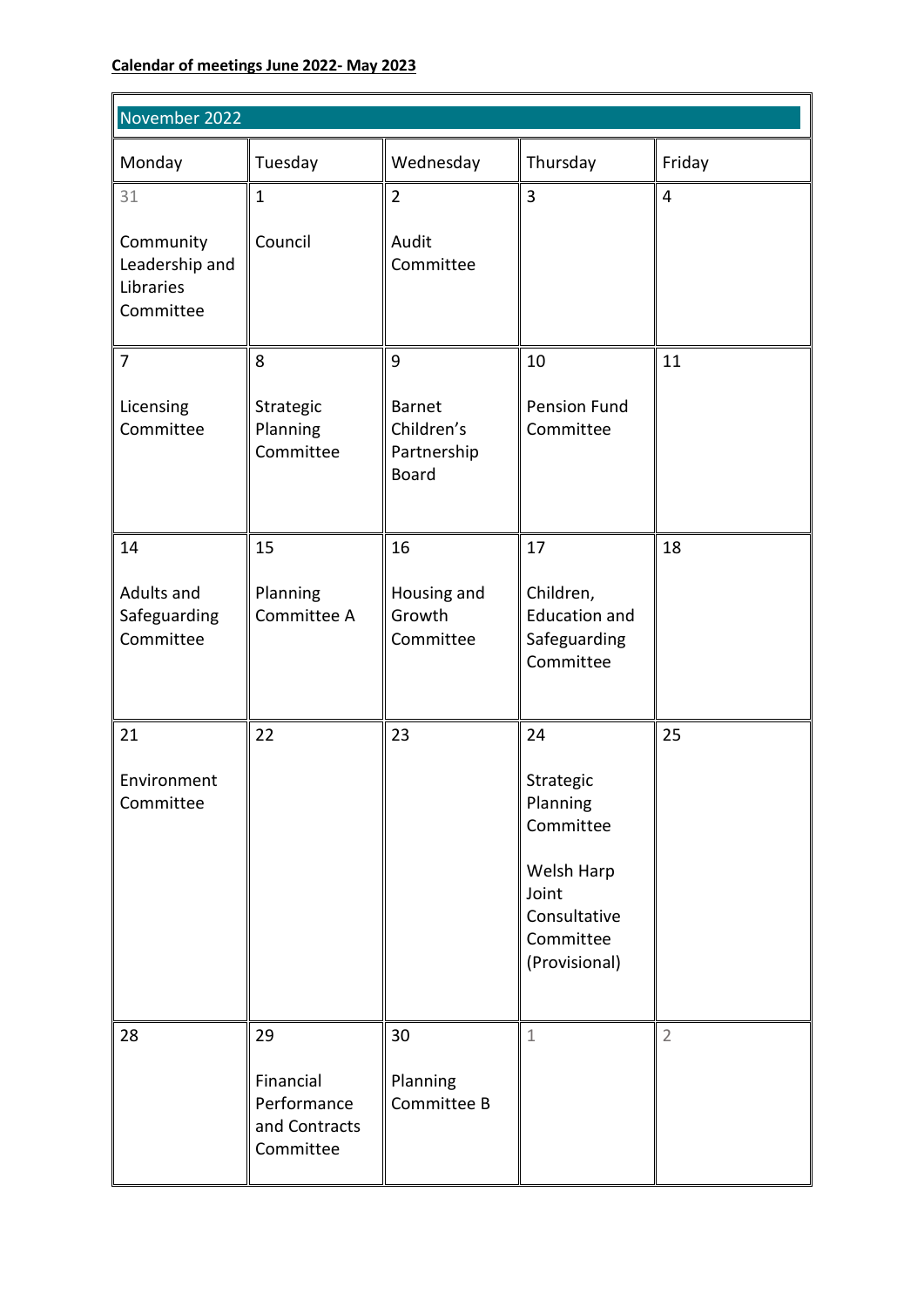| November 2022                                         |                                                        |                                                            |                                                                                                               |                |  |
|-------------------------------------------------------|--------------------------------------------------------|------------------------------------------------------------|---------------------------------------------------------------------------------------------------------------|----------------|--|
| Monday                                                | Tuesday                                                | Wednesday                                                  | Thursday                                                                                                      | Friday         |  |
| 31                                                    | $\mathbf{1}$                                           | $\overline{2}$                                             | $\overline{3}$                                                                                                | $\overline{4}$ |  |
| Community<br>Leadership and<br>Libraries<br>Committee | Council                                                | Audit<br>Committee                                         |                                                                                                               |                |  |
| $\overline{7}$                                        | 8                                                      | 9                                                          | 10                                                                                                            | 11             |  |
| Licensing<br>Committee                                | Strategic<br>Planning<br>Committee                     | <b>Barnet</b><br>Children's<br>Partnership<br><b>Board</b> | <b>Pension Fund</b><br>Committee                                                                              |                |  |
| 14                                                    | 15                                                     | 16                                                         | 17                                                                                                            | 18             |  |
| Adults and<br>Safeguarding<br>Committee               | Planning<br>Committee A                                | Housing and<br>Growth<br>Committee                         | Children,<br><b>Education and</b><br>Safeguarding<br>Committee                                                |                |  |
| 21<br>Environment<br>Committee                        | 22                                                     | 23                                                         | 24<br>Strategic<br>Planning<br>Committee<br>Welsh Harp<br>Joint<br>Consultative<br>Committee<br>(Provisional) | 25             |  |
| 28                                                    | 29                                                     | 30                                                         | $\mathbf 1$                                                                                                   | $\overline{2}$ |  |
|                                                       | Financial<br>Performance<br>and Contracts<br>Committee | Planning<br>Committee B                                    |                                                                                                               |                |  |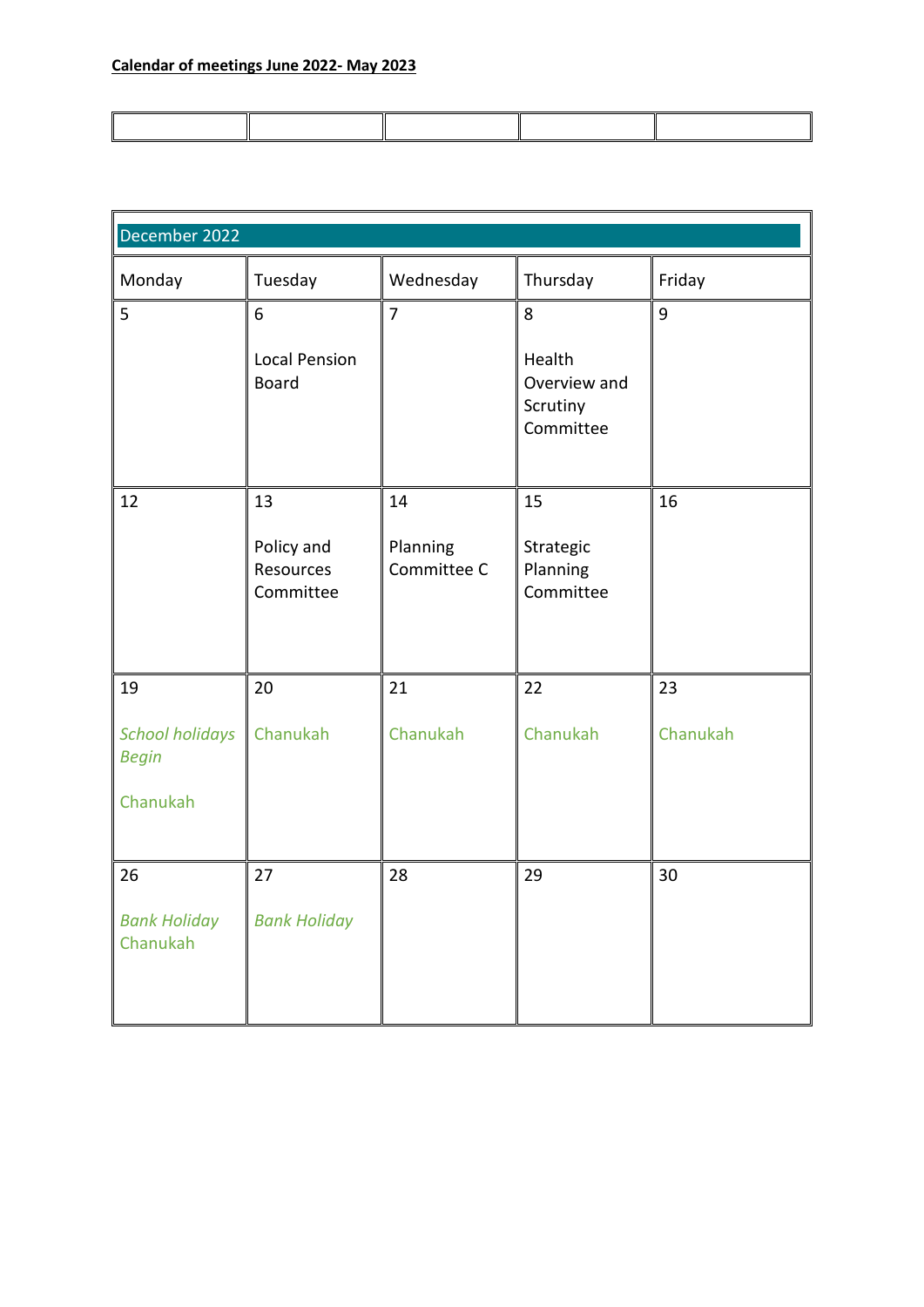| December 2022                          |                                      |                         |                                                 |          |  |
|----------------------------------------|--------------------------------------|-------------------------|-------------------------------------------------|----------|--|
| Monday                                 | Tuesday                              | Wednesday               | Thursday                                        | Friday   |  |
| 5                                      | 6                                    | $\overline{7}$          | 8                                               | 9        |  |
|                                        | <b>Local Pension</b><br><b>Board</b> |                         | Health<br>Overview and<br>Scrutiny<br>Committee |          |  |
| 12                                     | 13                                   | 14                      | 15                                              | 16       |  |
|                                        | Policy and<br>Resources<br>Committee | Planning<br>Committee C | Strategic<br>Planning<br>Committee              |          |  |
| 19                                     | 20                                   | 21                      | 22                                              | 23       |  |
| <b>School holidays</b><br><b>Begin</b> | Chanukah                             | Chanukah                | Chanukah                                        | Chanukah |  |
| Chanukah                               |                                      |                         |                                                 |          |  |
| 26                                     | 27                                   | 28                      | 29                                              | 30       |  |
| <b>Bank Holiday</b><br>Chanukah        | <b>Bank Holiday</b>                  |                         |                                                 |          |  |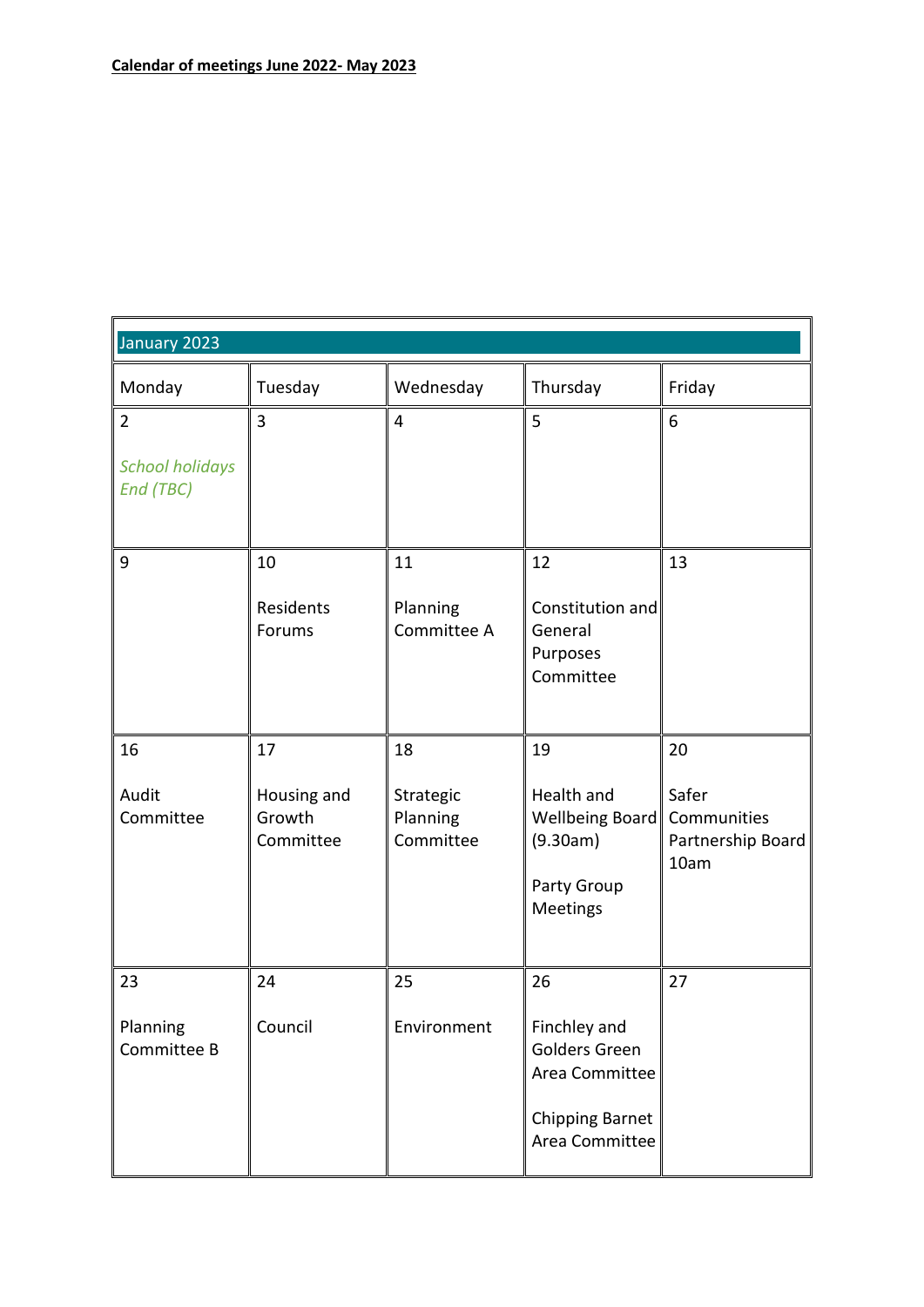| January 2023                        |                                    |                                    |                                                                                             |                                                   |
|-------------------------------------|------------------------------------|------------------------------------|---------------------------------------------------------------------------------------------|---------------------------------------------------|
| Monday                              | Tuesday                            | Wednesday                          | Thursday                                                                                    | Friday                                            |
| $\overline{2}$                      | 3                                  | $\overline{4}$                     | 5                                                                                           | 6                                                 |
| <b>School holidays</b><br>End (TBC) |                                    |                                    |                                                                                             |                                                   |
| 9                                   | 10                                 | 11                                 | 12                                                                                          | 13                                                |
|                                     | Residents<br>Forums                | Planning<br>Committee A            | Constitution and<br>General<br>Purposes<br>Committee                                        |                                                   |
| 16                                  | 17                                 | 18                                 | 19                                                                                          | 20                                                |
| Audit<br>Committee                  | Housing and<br>Growth<br>Committee | Strategic<br>Planning<br>Committee | Health and<br>Wellbeing Board<br>(9.30am)<br>Party Group<br>Meetings                        | Safer<br>Communities<br>Partnership Board<br>10am |
| 23                                  | 24                                 | 25                                 | 26                                                                                          | 27                                                |
| Planning<br>Committee B             | Council                            | Environment                        | Finchley and<br>Golders Green<br>Area Committee<br><b>Chipping Barnet</b><br>Area Committee |                                                   |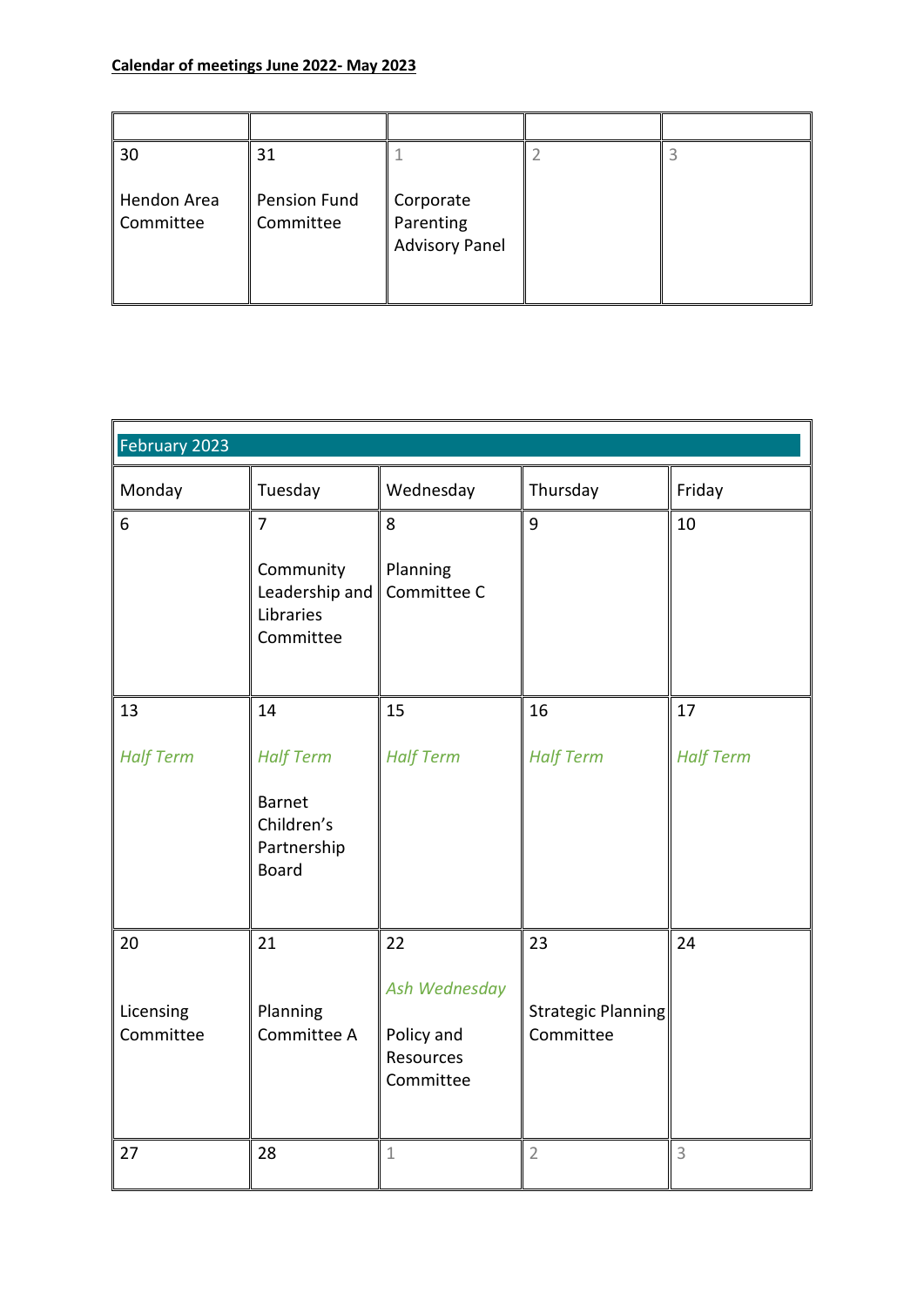| 30                       | 31                               |                                                 |  |
|--------------------------|----------------------------------|-------------------------------------------------|--|
| Hendon Area<br>Committee | <b>Pension Fund</b><br>Committee | Corporate<br>Parenting<br><b>Advisory Panel</b> |  |

| February 2023                |                                                                                |                                                                    |                                       |                  |
|------------------------------|--------------------------------------------------------------------------------|--------------------------------------------------------------------|---------------------------------------|------------------|
| Monday                       | Tuesday                                                                        | Wednesday                                                          | Thursday                              | Friday           |
| 6                            | $\overline{7}$<br>Community<br>Leadership and<br>Libraries<br>Committee        | 8<br>Planning<br>Committee C                                       | 9                                     | 10               |
| 13                           | 14                                                                             | 15                                                                 | 16                                    | 17               |
| <b>Half Term</b>             | <b>Half Term</b><br><b>Barnet</b><br>Children's<br>Partnership<br><b>Board</b> | <b>Half Term</b>                                                   | <b>Half Term</b>                      | <b>Half Term</b> |
| 20<br>Licensing<br>Committee | 21<br>Planning<br>Committee A                                                  | 22<br>Ash Wednesday<br>Policy and<br><b>Resources</b><br>Committee | 23<br>Strategic Planning<br>Committee | 24               |
| 27                           | 28                                                                             | $1\,$                                                              | $\overline{2}$                        | 3                |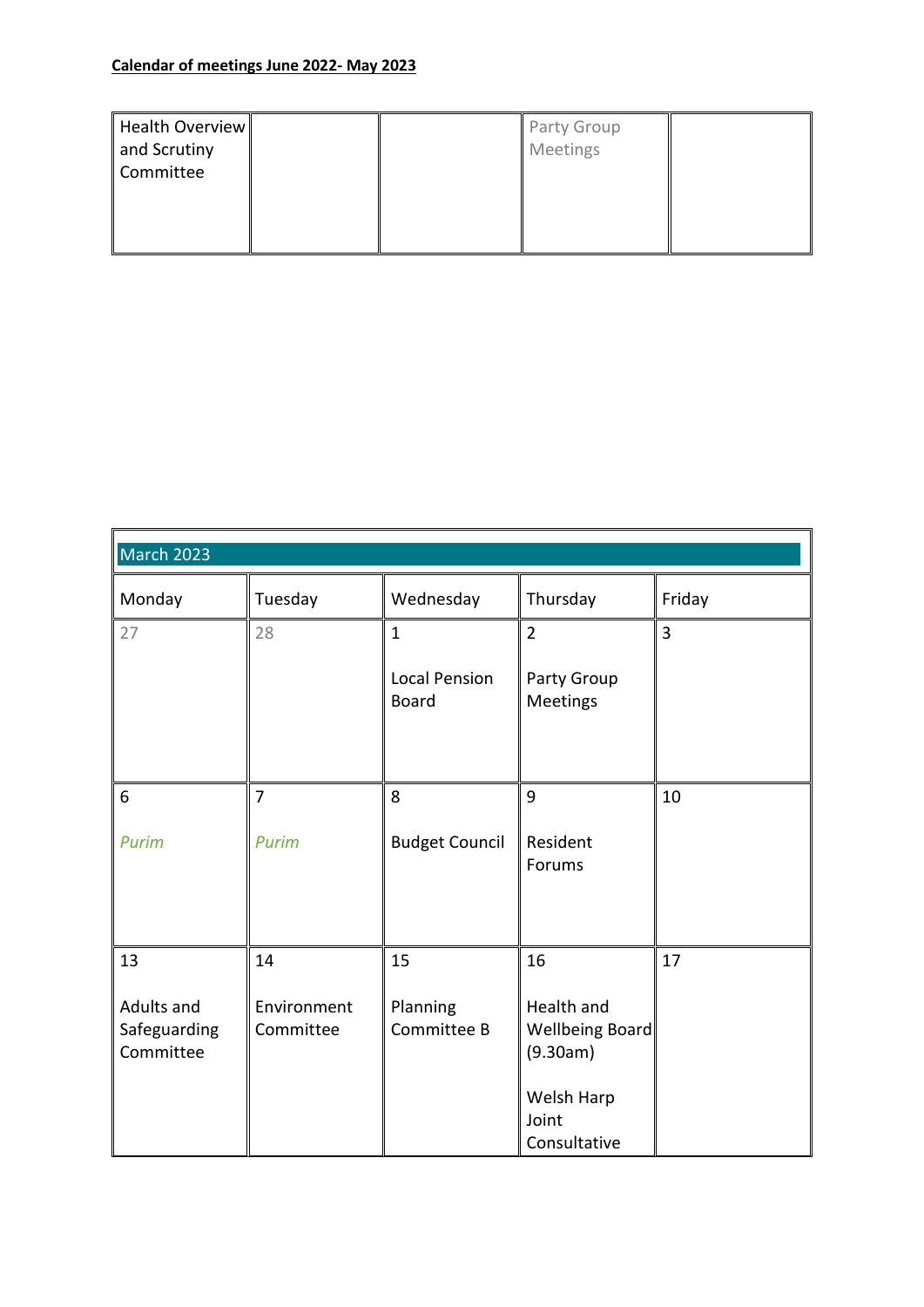| Health Overview<br>and Scrutiny<br>Committee |  | <b>Party Group</b><br>Meetings |  |
|----------------------------------------------|--|--------------------------------|--|
|                                              |  |                                |  |

| March 2023                              |                          |                                      |                                                                                  |        |
|-----------------------------------------|--------------------------|--------------------------------------|----------------------------------------------------------------------------------|--------|
| Monday                                  | Tuesday                  | Wednesday                            | Thursday                                                                         | Friday |
| 27                                      | 28                       | $\mathbf{1}$                         | $\overline{2}$                                                                   | 3      |
|                                         |                          | <b>Local Pension</b><br><b>Board</b> | Party Group<br>Meetings                                                          |        |
|                                         |                          |                                      |                                                                                  |        |
| 6                                       | $\overline{7}$           | 8                                    | 9                                                                                | 10     |
| Purim                                   | <b>Purim</b>             | <b>Budget Council</b>                | Resident<br>Forums                                                               |        |
| 13                                      | 14                       | 15                                   | 16                                                                               | 17     |
| Adults and<br>Safeguarding<br>Committee | Environment<br>Committee | Planning<br>Committee B              | Health and<br>Wellbeing Board<br>(9.30am)<br>Welsh Harp<br>Joint<br>Consultative |        |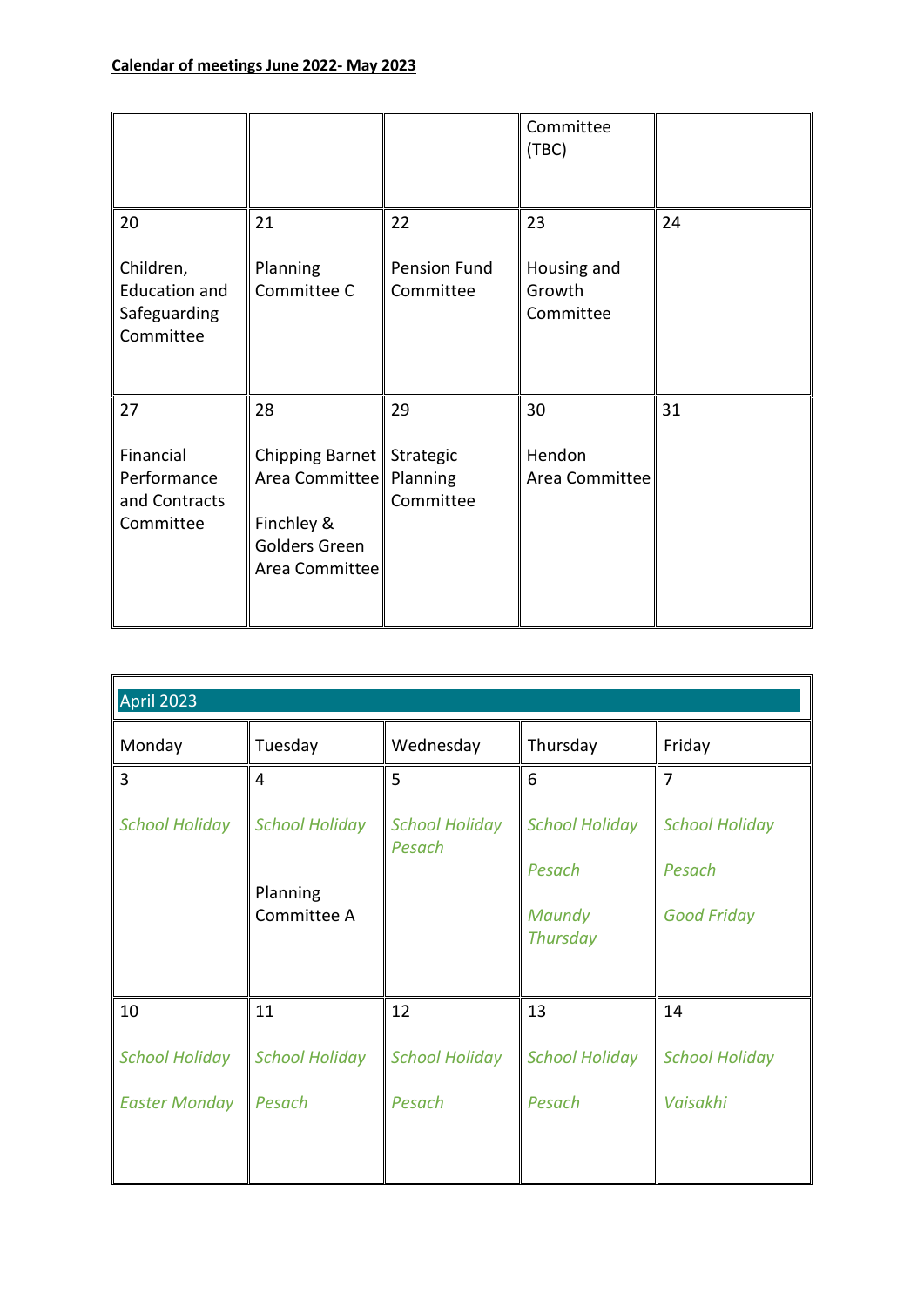|                                                                |                                                                                                           |                           | Committee<br>(TBC)                 |    |
|----------------------------------------------------------------|-----------------------------------------------------------------------------------------------------------|---------------------------|------------------------------------|----|
| 20                                                             | 21                                                                                                        | 22                        | 23                                 | 24 |
| Children,<br><b>Education and</b><br>Safeguarding<br>Committee | Planning<br>Committee C                                                                                   | Pension Fund<br>Committee | Housing and<br>Growth<br>Committee |    |
| 27                                                             | 28                                                                                                        | 29                        | 30                                 | 31 |
| Financial<br>Performance<br>and Contracts<br>Committee         | Chipping Barnet   Strategic<br>Area Committee   Planning<br>Finchley &<br>Golders Green<br>Area Committee | Committee                 | Hendon<br>Area Committee           |    |

| April 2023                                     |  |  |  |  |
|------------------------------------------------|--|--|--|--|
| Thursday<br>Friday                             |  |  |  |  |
| $\overline{7}$                                 |  |  |  |  |
| <b>School Holiday</b><br><b>School Holiday</b> |  |  |  |  |
| Pesach<br>Pesach                               |  |  |  |  |
|                                                |  |  |  |  |
| Maundy<br><b>Good Friday</b>                   |  |  |  |  |
| <b>Thursday</b>                                |  |  |  |  |
|                                                |  |  |  |  |
| 14                                             |  |  |  |  |
| <b>School Holiday</b><br><b>School Holiday</b> |  |  |  |  |
| Pesach<br>Vaisakhi                             |  |  |  |  |
|                                                |  |  |  |  |
|                                                |  |  |  |  |
|                                                |  |  |  |  |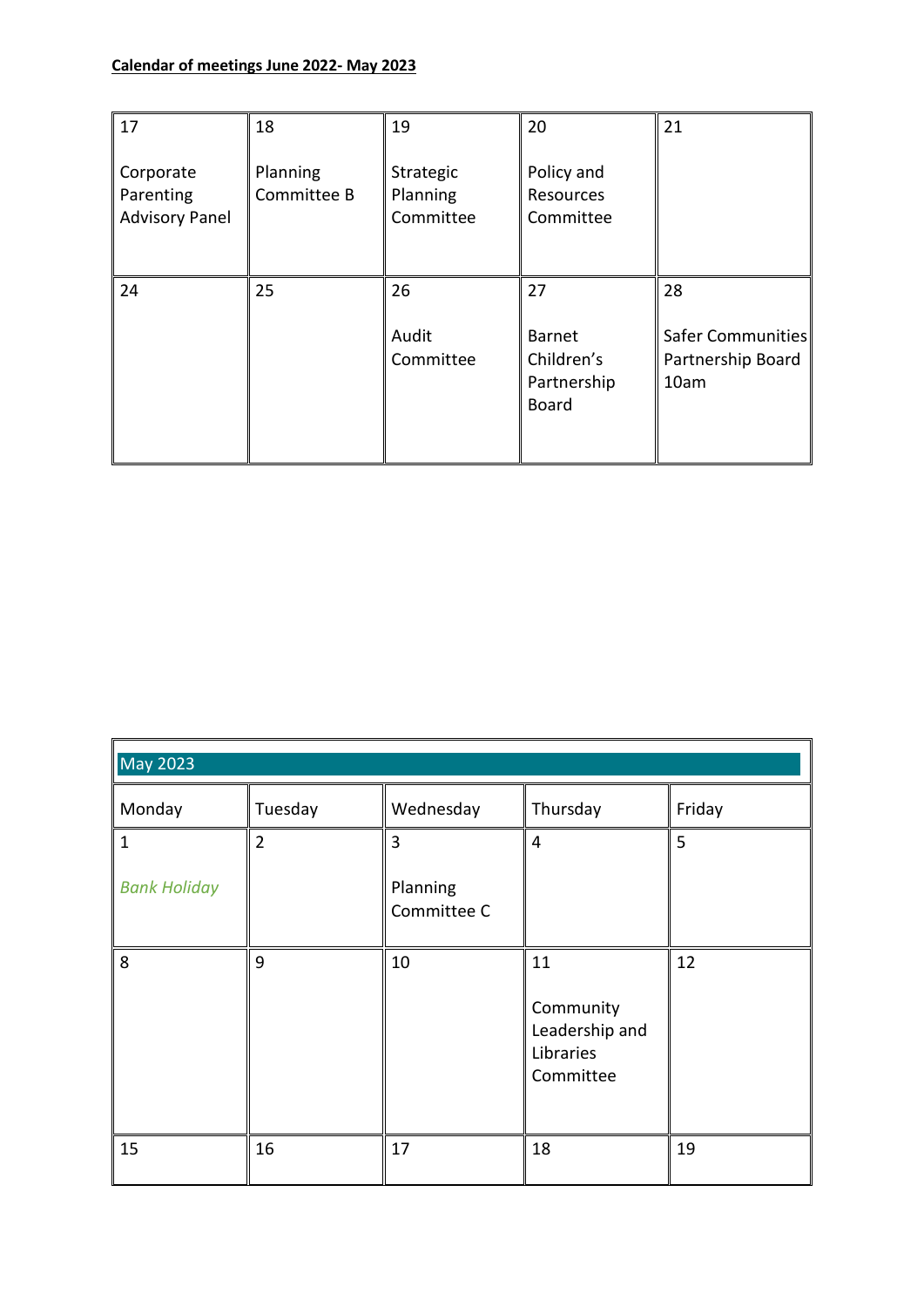| 17                                              | 18                      | 19                                 | 20                                                        | 21                                                   |
|-------------------------------------------------|-------------------------|------------------------------------|-----------------------------------------------------------|------------------------------------------------------|
| Corporate<br>Parenting<br><b>Advisory Panel</b> | Planning<br>Committee B | Strategic<br>Planning<br>Committee | Policy and<br>Resources<br>Committee                      |                                                      |
| 24                                              | 25                      | 26<br>Audit<br>Committee           | 27<br><b>Barnet</b><br>Children's<br>Partnership<br>Board | 28<br>Safer Communities<br>Partnership Board<br>10am |

| <b>May 2023</b>                     |                |                                           |                                                             |        |
|-------------------------------------|----------------|-------------------------------------------|-------------------------------------------------------------|--------|
| Monday                              | Tuesday        | Wednesday                                 | Thursday                                                    | Friday |
| $\mathbf{1}$<br><b>Bank Holiday</b> | $\overline{2}$ | $\overline{3}$<br>Planning<br>Committee C | $\overline{4}$                                              | 5      |
| 8                                   | 9              | 10                                        | 11<br>Community<br>Leadership and<br>Libraries<br>Committee | 12     |
| 15                                  | 16             | 17                                        | 18                                                          | 19     |